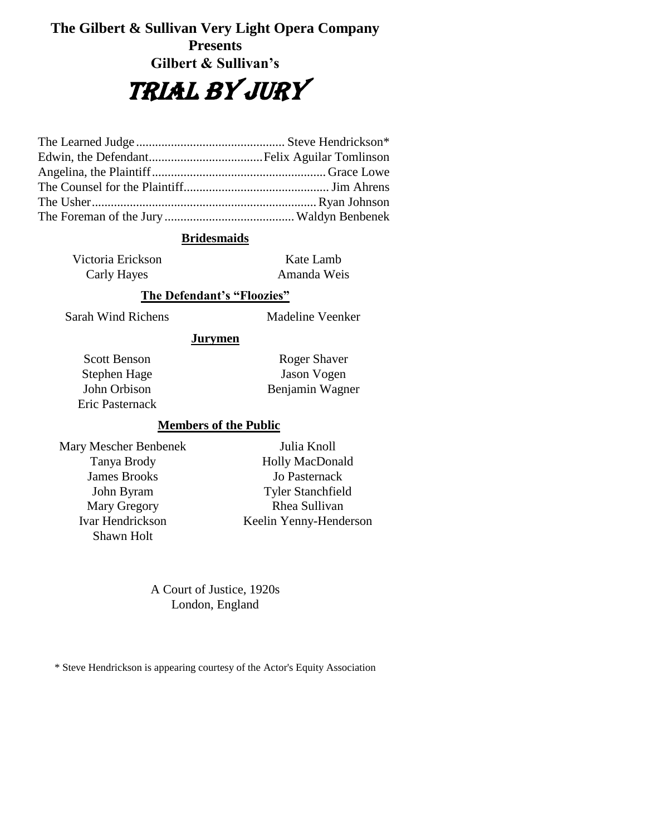# **The Gilbert & Sullivan Very Light Opera Company Presents Gilbert & Sullivan's**

# TRIAL BY JURY

#### **Bridesmaids**

Victoria Erickson Carly Hayes

Kate Lamb Amanda Weis

#### **The Defendant's "Floozies"**

Sarah Wind Richens Madeline Veenker

## **Jurymen**

Scott Benson Stephen Hage John Orbison Eric Pasternack

Roger Shaver Jason Vogen Benjamin Wagner

#### **Members of the Public**

Mary Mescher Benbenek Tanya Brody James Brooks John Byram Mary Gregory Ivar Hendrickson Shawn Holt

Julia Knoll Holly MacDonald Jo Pasternack Tyler Stanchfield Rhea Sullivan Keelin Yenny-Henderson

A Court of Justice, 1920s London, England

\* Steve Hendrickson is appearing courtesy of the Actor's Equity Association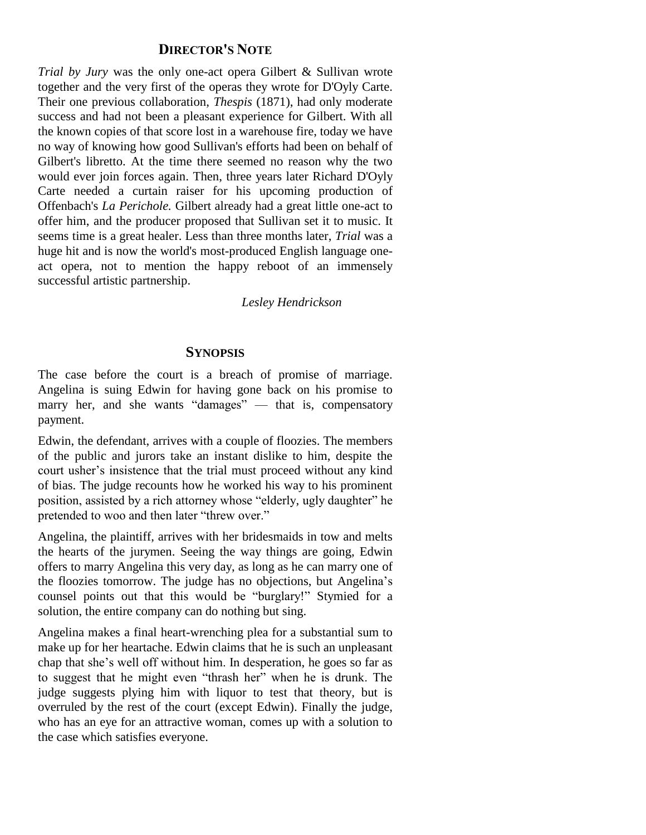## **DIRECTOR'S NOTE**

*Trial by Jury* was the only one-act opera Gilbert & Sullivan wrote together and the very first of the operas they wrote for D'Oyly Carte. Their one previous collaboration, *Thespis* (1871), had only moderate success and had not been a pleasant experience for Gilbert. With all the known copies of that score lost in a warehouse fire, today we have no way of knowing how good Sullivan's efforts had been on behalf of Gilbert's libretto. At the time there seemed no reason why the two would ever join forces again. Then, three years later Richard D'Oyly Carte needed a curtain raiser for his upcoming production of Offenbach's *La Perichole.* Gilbert already had a great little one-act to offer him, and the producer proposed that Sullivan set it to music. It seems time is a great healer. Less than three months later, *Trial* was a huge hit and is now the world's most-produced English language oneact opera, not to mention the happy reboot of an immensely successful artistic partnership.

#### *Lesley Hendrickson*

#### **SYNOPSIS**

The case before the court is a breach of promise of marriage. Angelina is suing Edwin for having gone back on his promise to marry her, and she wants "damages" — that is, compensatory payment.

Edwin, the defendant, arrives with a couple of floozies. The members of the public and jurors take an instant dislike to him, despite the court usher's insistence that the trial must proceed without any kind of bias. The judge recounts how he worked his way to his prominent position, assisted by a rich attorney whose "elderly, ugly daughter" he pretended to woo and then later "threw over."

Angelina, the plaintiff, arrives with her bridesmaids in tow and melts the hearts of the jurymen. Seeing the way things are going, Edwin offers to marry Angelina this very day, as long as he can marry one of the floozies tomorrow. The judge has no objections, but Angelina's counsel points out that this would be "burglary!" Stymied for a solution, the entire company can do nothing but sing.

Angelina makes a final heart-wrenching plea for a substantial sum to make up for her heartache. Edwin claims that he is such an unpleasant chap that she's well off without him. In desperation, he goes so far as to suggest that he might even "thrash her" when he is drunk. The judge suggests plying him with liquor to test that theory, but is overruled by the rest of the court (except Edwin). Finally the judge, who has an eye for an attractive woman, comes up with a solution to the case which satisfies everyone.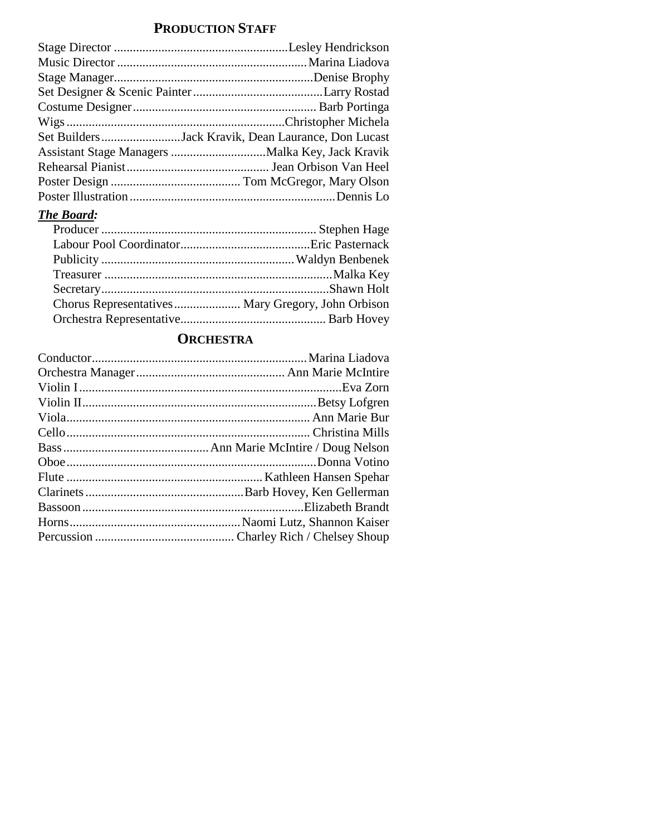# **PRODUCTION STAFF**

| Set BuildersJack Kravik, Dean Laurance, Don Lucast |
|----------------------------------------------------|
|                                                    |
|                                                    |
|                                                    |
|                                                    |
|                                                    |

## *The Board:*

# **ORCHESTRA**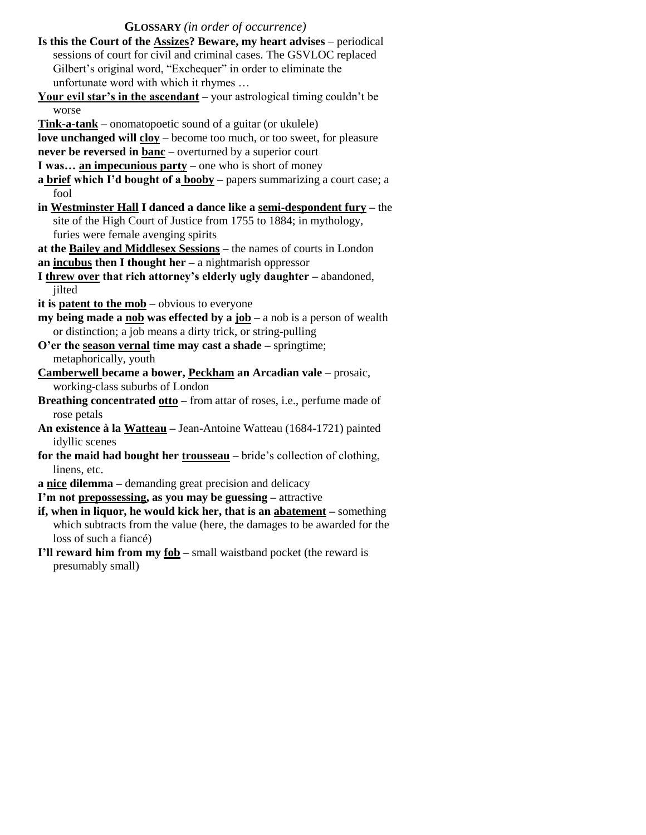#### **GLOSSARY** *(in order of occurrence)*

- **Is this the Court of the Assizes? Beware, my heart advises**  periodical sessions of court for civil and criminal cases. The GSVLOC replaced Gilbert's original word, "Exchequer" in order to eliminate the unfortunate word with which it rhymes …
- **Your evil star's in the ascendant –** your astrological timing couldn't be worse
- **Tink-a-tank –** onomatopoetic sound of a guitar (or ukulele)

**love unchanged will cloy –** become too much, or too sweet, for pleasure

**never be reversed in banc –** overturned by a superior court

- **I was… an impecunious party –** one who is short of money
- **a brief which I'd bought of a booby –** papers summarizing a court case; a fool
- **in Westminster Hall I danced a dance like a semi-despondent fury –** the site of the High Court of Justice from 1755 to 1884; in mythology, furies were female avenging spirits

**at the Bailey and Middlesex Sessions –** the names of courts in London

- **an incubus then I thought her –** a nightmarish oppressor
- **I threw over that rich attorney's elderly ugly daughter –** abandoned, jilted
- **it is patent to the mob –** obvious to everyone
- **my being made a nob was effected by a job a nob is a person of wealth** or distinction; a job means a dirty trick, or string-pulling
- **O'er the season vernal time may cast a shade –** springtime; metaphorically, youth
- **Camberwell became a bower, Peckham an Arcadian vale –** prosaic, working-class suburbs of London
- **Breathing concentrated otto –** from attar of roses, i.e., perfume made of rose petals
- **An existence à la Watteau –** Jean-Antoine Watteau (1684-1721) painted idyllic scenes
- **for the maid had bought her trousseau –** bride's collection of clothing, linens, etc.

**a nice dilemma –** demanding great precision and delicacy

**I'm not prepossessing, as you may be guessing –** attractive

- **if, when in liquor, he would kick her, that is an abatement –** something which subtracts from the value (here, the damages to be awarded for the loss of such a fiancé)
- **I'll reward him from my fob –** small waistband pocket (the reward is presumably small)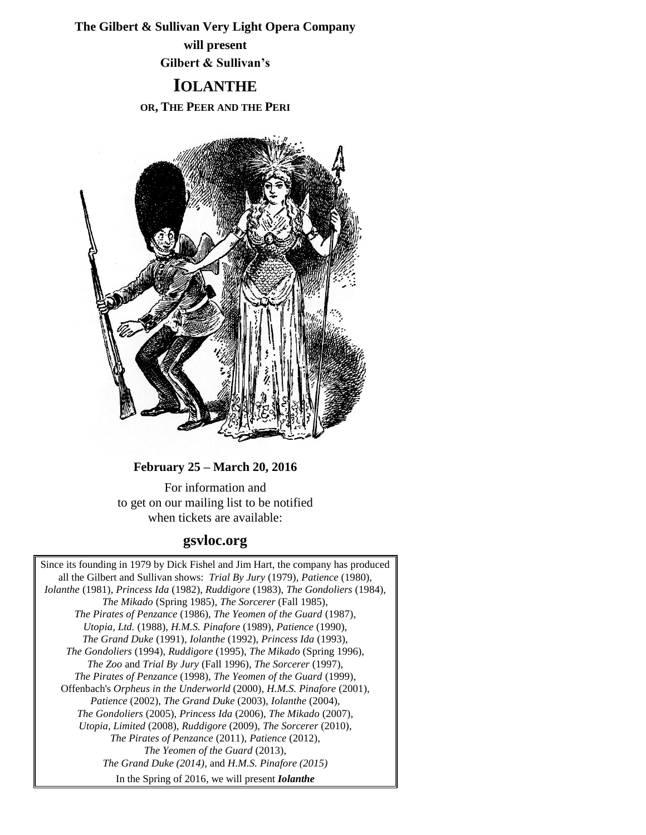**The Gilbert & Sullivan Very Light Opera Company will present Gilbert & Sullivan's**

# **IOLANTHE OR, THE PEER AND THE PERI**



## **February 25 – March 20, 2016**

For information and to get on our mailing list to be notified when tickets are available:

# **gsvloc.org**

Since its founding in 1979 by Dick Fishel and Jim Hart, the company has produced all the Gilbert and Sullivan shows: *Trial By Jury* (1979), *Patience* (1980), *Iolanthe* (1981), *Princess Ida* (1982), *Ruddigore* (1983), *The Gondoliers* (1984), *The Mikado* (Spring 1985), *The Sorcerer* (Fall 1985), *The Pirates of Penzance* (1986), *The Yeomen of the Guard* (1987), *Utopia, Ltd.* (1988), *H.M.S. Pinafore* (1989), *Patience* (1990), *The Grand Duke* (1991), *Iolanthe* (1992), *Princess Ida* (1993), *The Gondoliers* (1994), *Ruddigore* (1995), *The Mikado* (Spring 1996), *The Zoo* and *Trial By Jury* (Fall 1996), *The Sorcerer* (1997), *The Pirates of Penzance* (1998), *The Yeomen of the Guard* (1999), Offenbach's *Orpheus in the Underworld* (2000), *H.M.S. Pinafore* (2001), *Patience* (2002), *The Grand Duke* (2003), *Iolanthe* (2004), *The Gondoliers* (2005), *Princess Ida* (2006), *The Mikado* (2007), *Utopia, Limited* (2008), *Ruddigore* (2009), *The Sorcerer* (2010), *The Pirates of Penzance* (2011), *Patience* (2012), *The Yeomen of the Guard* (2013), *The Grand Duke (2014),* and *H.M.S. Pinafore (2015)* In the Spring of 2016, we will present *Iolanthe*